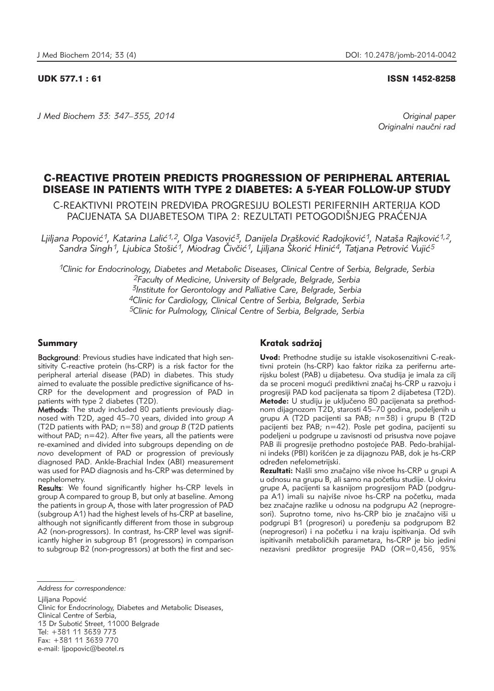#### UDK 577.1 : 61 ISSN 1452-8258

*J Med Biochem 33: 347–355, 2014 Original paper*

Originalni naučni rad

# C-REACTIVE PROTEIN PREDICTS PROGRESSION OF PERIPHERAL ARTERIAL DISEASE IN PATIENTS WITH TYPE 2 DIABETES: A 5-YEAR FOLLOW-UP STUDY

C-REAKTIVNI PROTEIN PREDVIĐA PROGRESIJU BOLESTI PERIFERNIH ARTERIJA KOD PACIJENATA SA DIJABETESOM TIPA 2: REZULTATI PETOGODIŠNJEG PRAĆENJA

Ljiljana Popović<sup>1</sup>, Katarina Lalić<sup>1,2</sup>, Olga Vasović<sup>3</sup>, Danijela Drašković Radojković<sup>1</sup>, Nataša Rajković<sup>1,2</sup>, Sandra Singh<sup>1</sup>, Ljubica Stošić<sup>1</sup>, Miodrag Čivčić<sup>1</sup>, Ljiljana Škorić Hinić<sup>4</sup>, Tatjana Petrović Vujić<sup>5</sup>

*1Clinic for Endocrinology, Diabetes and Metabolic Diseases, Clinical Centre of Serbia, Belgrade, Serbia 2Faculty of Medicine, University of Belgrade, Belgrade, Serbia 3Institute for Gerontology and Palliative Care, Belgrade, Serbia 4Clinic for Cardiology, Clinical Centre of Serbia, Belgrade, Serbia 5Clinic for Pulmology, Clinical Centre of Serbia, Belgrade, Serbia*

## Summary

Background: Previous studies have indicated that high sensitivity C-reactive protein (hs-CRP) is a risk factor for the peripheral arterial disease (PAD) in diabetes. This study aimed to evaluate the possible predictive significance of hs-CRP for the development and progression of PAD in patients with type 2 diabetes (T2D).

Methods: The study included 80 patients previously diagnosed with T2D, aged 45–70 years, divided into *group A* (T2D patients with PAD; n=38) and *group B* (T2D patients without PAD; n=42). After five years, all the patients were re-examined and divided into subgroups depending on *de novo* development of PAD or progression of previously diagnosed PAD. Ankle-Brachial Index (ABI) measurement was used for PAD diagnosis and hs-CRP was determined by nephelometry.

Results: We found significantly higher hs-CRP levels in group A compared to group B, but only at baseline. Among the patients in group A, those with later progression of PAD (subgroup A1) had the highest levels of hs-CRP at baseline, although not significantly different from those in subgroup A2 (non-progressors). In contrast, hs-CRP level was significantly higher in subgroup B1 (progressors) in comparison to subgroup B2 (non-progressors) at both the first and sec-

*Address for correspondence:*

Ljiljana Popović

Clinic for Endocrinology, Diabetes and Metabolic Diseases, Clinical Centre of Serbia, 13 Dr Subotić Street, 11000 Belgrade Tel: +381 11 3639 773 Fax: +381 11 3639 770 e-mail: lipopovic@beotel.rs

## Kratak sadržaj

**Uvod:** Prethodne studije su istakle visokosenzitivni C-reaktivni protein (hs-CRP) kao faktor rizika za perifernu arterijsku bolest (PAB) u dijabetesu. Ova studija je imala za cilj da se proceni mogući prediktivni značaj hs-CRP u razvoju i progresiji PAD kod pacijenata sa tipom 2 dijabetesa (T2D). Metode: U studiju je uključeno 80 pacijenata sa prethodnom dijagnozom T2D, starosti 45–70 godina, podeljenih u grupu A (T2D pacijenti sa PAB; n=38) i grupu B (T2D pacijenti bez PAB; n=42). Posle pet godina, pacijenti su podeljeni u podgrupe u zavisnosti od prisustva nove pojave PAB ili progresije prethodno postojeće PAB. Pedo-brahijalni indeks (PBI) korišćen je za dijagnozu PAB, dok je hs-CRP određen nefelometrijski.

Rezultati: Našli smo značajno više nivoe hs-CRP u grupi A u odnosu na grupu B, ali samo na početku studije. U okviru grupe A, pacijenti sa kasnijom progresijom PAD (podgrupa A1) imali su najviše nivoe hs-CRP na početku, mada bez značajne razlike u odnosu na podgrupu A2 (neprogresori). Suprotno tome, nivo hs-CRP bio je značajno viši u podgrupi B1 (progresori) u poređenju sa podgrupom B2 (neprogresori) i na početku i na kraju ispitivanja. Od svih ispitivanih metaboličkih parametara, hs-CRP je bio jedini nezavisni prediktor progresije PAD (OR=0,456, 95%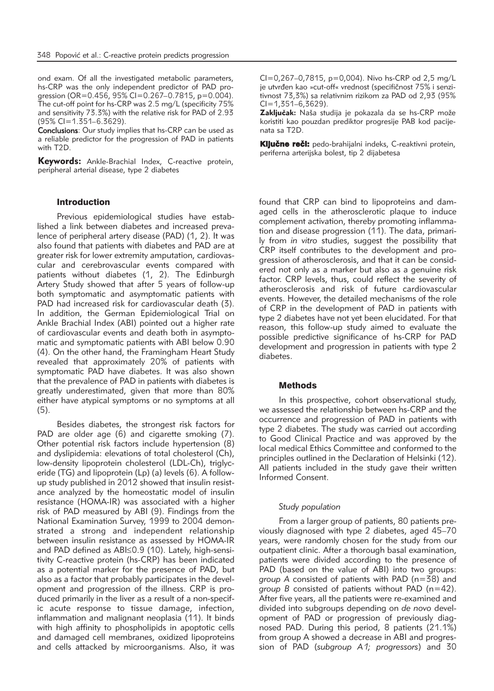ond exam. Of all the investigated metabolic parameters, hs-CRP was the only independent predictor of PAD progression (OR=0.456, 95% CI=0.267–0.7815, p=0.004). The cut-off point for hs-CRP was 2.5 mg/L (specificity 75% and sensitivity 73.3%) with the relative risk for PAD of 2.93 (95% CI=1.351–6.3629).

Conclusions: Our study implies that hs-CRP can be used as a reliable predictor for the progression of PAD in patients with T2D.

Keywords: Ankle-Brachial Index, C-reactive protein, peripheral arterial disease, type 2 diabetes

#### Introduction

Previous epidemiological studies have established a link between diabetes and increased prevalence of peripheral artery disease (PAD) (1, 2). It was also found that patients with diabetes and PAD are at greater risk for lower extremity amputation, cardiovascular and cerebrovascular events compared with patients without diabetes (1, 2). The Edinburgh Artery Study showed that after 5 years of follow-up both symptomatic and asymptomatic patients with PAD had increased risk for cardiovascular death (3). In addition, the German Epidemiological Trial on Ankle Brachial Index (ABI) pointed out a higher rate of cardiovascular events and death both in asymptomatic and symptomatic patients with ABI below 0.90 (4). On the other hand, the Framingham Heart Study revealed that approximately 20% of patients with symptomatic PAD have diabetes. It was also shown that the prevalence of PAD in patients with diabetes is greatly underestimated, given that more than 80% either have atypical symptoms or no symptoms at all (5).

Besides diabetes, the strongest risk factors for PAD are older age (6) and cigarette smoking (7). Other potential risk factors include hypertension (8) and dyslipidemia: elevations of total cholesterol (Ch), low-density lipoprotein cholesterol (LDL-Ch), triglyceride (TG) and lipoprotein (Lp) (a) levels (6). A followup study published in 2012 showed that insulin resistance analyzed by the homeostatic model of insulin resistance (HOMA-IR) was associated with a higher risk of PAD measured by ABI (9). Findings from the National Examination Survey, 1999 to 2004 demonstrated a strong and independent relationship between insulin resistance as assessed by HOMA-IR and PAD defined as ABI≤0.9 (10). Lately, high-sensitivity C-reactive protein (hs-CRP) has been indicated as a potential marker for the presence of PAD, but also as a factor that probably participates in the development and progression of the illness. CRP is produced primarily in the liver as a result of a non-specific acute response to tissue damage, infection, inflammation and malignant neoplasia (11). It binds with high affinity to phospholipids in apoptotic cells and damaged cell membranes, oxidized lipoproteins and cells attacked by microorganisms. Also, it was

CI=0,267–0,7815, p=0,004). Nivo hs-CRP od 2,5 mg/L je utvrđen kao »cut-off« vrednost (specifičnost 75% i senzitivnost 73,3%) sa relativnim rizikom za PAD od 2,93 (95%  $Cl = 1,351-6,3629$ .

Zaključak: Naša studija je pokazala da se hs-CRP može koristiti kao pouzdan prediktor progresije PAB kod pacijenata sa T2D.

Ključne reči: pedo-brahijalni indeks, C-reaktivni protein, periferna arterijska bolest, tip 2 dijabetesa

found that CRP can bind to lipoproteins and damaged cells in the atherosclerotic plaque to induce complement activation, thereby promoting inflammation and disease progression (11). The data, primarily from *in vitro* studies, suggest the possibility that CRP itself contributes to the development and progression of atherosclerosis, and that it can be considered not only as a marker but also as a genuine risk factor. CRP levels, thus, could reflect the severity of atherosclerosis and risk of future cardiovascular events. However, the detailed mechanisms of the role of CRP in the development of PAD in patients with type 2 diabetes have not yet been elucidated. For that reason, this follow-up study aimed to evaluate the possible predictive significance of hs-CRP for PAD development and progression in patients with type 2 diabetes.

#### **Methods**

In this prospective, cohort observational study, we assessed the relationship between hs-CRP and the occurrence and progression of PAD in patients with type 2 diabetes. The study was carried out according to Good Clinical Practice and was approved by the local medical Ethics Committee and conformed to the principles outlined in the Declaration of Helsinki (12). All patients included in the study gave their written Informed Consent.

#### *Study population*

From a larger group of patients, 80 patients previously diagnosed with type 2 diabetes, aged 45–70 years, were randomly chosen for the study from our outpatient clinic. After a thorough basal examination, patients were divided according to the presence of PAD (based on the value of ABI) into two groups: *group A* consisted of patients with PAD (n=38) and *group B* consisted of patients without PAD (n=42). After five years, all the patients were re-examined and divided into subgroups depending on *de novo* development of PAD or progression of previously diagnosed PAD. During this period, 8 patients (21.1%) from group A showed a decrease in ABI and progression of PAD (*subgroup A1; progressors*) and 30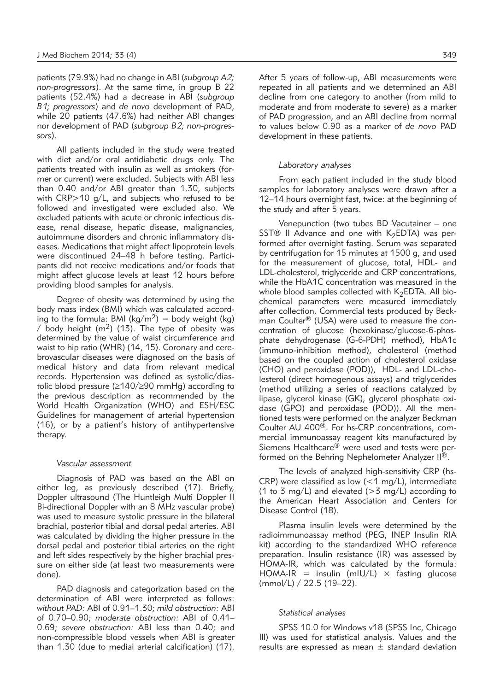patients (79.9%) had no change in ABI (*subgroup A2; non-progressors*). At the same time, in group B 22 patients (52.4%) had a decrease in ABI (*subgroup B1; progressors*) and *de novo* development of PAD, while 20 patients (47.6%) had neither ABI changes nor development of PAD (*subgroup B2; non-progressors*).

All patients included in the study were treated with diet and/or oral antidiabetic drugs only. The patients treated with insulin as well as smokers (former or current) were excluded. Subjects with ABI less than 0.40 and/or ABI greater than 1.30, subjects with CRP>10 g/L, and subjects who refused to be followed and investigated were excluded also. We excluded patients with acute or chronic infectious disease, renal disease, hepatic disease, malignancies, autoimmune disorders and chronic inflammatory diseases. Medications that might affect lipoprotein levels were discontinued 24-48 h before testing. Participants did not receive medications and/or foods that might affect glucose levels at least 12 hours before providing blood samples for analysis.

Degree of obesity was determined by using the body mass index (BMI) which was calculated according to the formula: BMI ( $\text{kg/m}^2$ ) = body weight (kg) / body height  $(m^2)$  (13). The type of obesity was determined by the value of waist circumference and waist to hip ratio (WHR) (14, 15). Coronary and cerebrovascular diseases were diagnosed on the basis of medical history and data from relevant medical records. Hypertension was defined as systolic/diastolic blood pressure (≥140/≥90 mmHg) according to the previous description as recommended by the World Health Organization (WHO) and ESH/ESC Guidelines for management of arterial hypertension (16), or by a patient's history of antihypertensive therapy.

#### *Vascular assessment*

Diagnosis of PAD was based on the ABI on either leg, as previously described (17). Briefly, Doppler ultrasound (The Huntleigh Multi Doppler II Bi-directional Doppler with an 8 MHz vascular probe) was used to measure systolic pressure in the bilateral brachial, posterior tibial and dorsal pedal arteries. ABI was calculated by dividing the higher pressure in the dorsal pedal and posterior tibial arteries on the right and left sides respectively by the higher brachial pressure on either side (at least two measurements were done).

PAD diagnosis and categorization based on the determination of ABI were interpreted as follows: *without PAD:* ABI of 0.91–1.30; *mild obstruction:* ABI of 0.70–0.90; *moderate obstruction:* ABI of 0.41– 0.69; *severe obstruction:* ABI less than 0.40; and non-compressible blood vessels when ABI is greater than 1.30 (due to medial arterial calcification) (17). After 5 years of follow-up, ABI measurements were repeated in all patients and we determined an ABI decline from one category to another (from mild to moderate and from moderate to severe) as a marker of PAD progression, and an ABI decline from normal to values below 0.90 as a marker of *de novo* PAD development in these patients.

#### *Laboratory analyses*

From each patient included in the study blood samples for laboratory analyses were drawn after a 12–14 hours overnight fast, twice: at the beginning of the study and after 5 years.

Venepunction (two tubes BD Vacutainer – one SST® II Advance and one with  $K_2EDTA$ ) was performed after overnight fasting. Serum was separated by centrifugation for 15 minutes at 1500 g, and used for the measurement of glucose, total, HDL- and LDL-cholesterol, triglyceride and CRP concentrations, while the HbA1C concentration was measured in the whole blood samples collected with  $K_2EDTA$ . All biochemical parameters were measured immediately after collection. Commercial tests produced by Beckman Coulter® (USA) were used to measure the concentration of glucose (hexokinase/glucose-6-phosphate dehydrogenase (G-6-PDH) method), HbA1c (immuno-inhibition method), cholesterol (method based on the coupled action of cholesterol oxidase (CHO) and peroxidase (POD)), HDL- and LDL-cholesterol (direct homogenous assays) and triglycerides (method utilizing a series of reactions catalyzed by lipase, glycerol kinase (GK), glycerol phosphate oxidase (GPO) and peroxidase (POD)). All the mentioned tests were performed on the analyzer Beckman Coulter AU 400®. For hs-CRP concentrations, commercial immunoassay reagent kits manufactured by Siemens Healthcare® were used and tests were performed on the Behring Nephelometer Analyzer II<sup>®</sup>.

The levels of analyzed high-sensitivity CRP (hs-CRP) were classified as low  $(<1$  mg/L), intermediate (1 to 3 mg/L) and elevated ( $>$ 3 mg/L) according to the American Heart Association and Centers for Disease Control (18).

Plasma insulin levels were determined by the radioimmunoassay method (PEG, INEP Insulin RIA kit) according to the standardized WHO reference preparation. Insulin resistance (IR) was assessed by HOMA-IR, which was calculated by the formula: HOMA-IR = insulin (mIU/L)  $\times$  fasting glucose (mmol/L) / 22.5 (19–22).

### *Statistical analyses*

SPSS 10.0 for Windows v18 (SPSS Inc, Chicago Ill) was used for statistical analysis. Values and the results are expressed as mean  $\pm$  standard deviation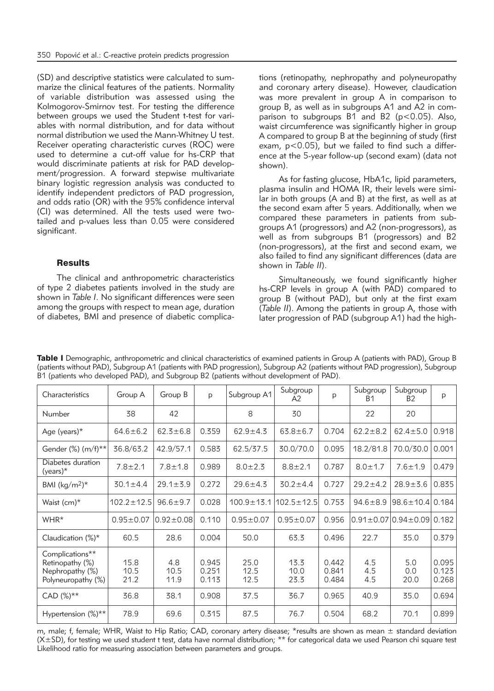(SD) and descriptive statistics were calculated to summarize the clinical features of the patients. Normality of variable distribution was assessed using the Kolmogorov-Smirnov test. For testing the difference between groups we used the Student t-test for variables with normal distribution, and for data without normal distribution we used the Mann-Whitney U test. Receiver operating characteristic curves (ROC) were used to determine a cut-off value for hs-CRP that would discriminate patients at risk for PAD development/progression. A forward stepwise multivariate binary logistic regression analysis was conducted to identify independent predictors of PAD progression, and odds ratio (OR) with the 95% confidence interval (CI) was determined. All the tests used were twotailed and p-values less than 0.05 were considered significant.

## **Results**

The clinical and anthropometric characteristics of type 2 diabetes patients involved in the study are shown in *Table I*. No significant differences were seen among the groups with respect to mean age, duration of diabetes, BMI and presence of diabetic complications (retinopathy, nephropathy and polyneuropathy and coronary artery disease). However, claudication was more prevalent in group A in comparison to group B, as well as in subgroups A1 and A2 in comparison to subgroups  $B1$  and  $B2$  ( $p < 0.05$ ). Also, waist circumference was significantly higher in group A compared to group B at the beginning of study (first exam, p<0.05), but we failed to find such a difference at the 5-year follow-up (second exam) (data not shown).

As for fasting glucose, HbA1c, lipid parameters, plasma insulin and HOMA IR, their levels were similar in both groups (A and B) at the first, as well as at the second exam after 5 years. Additionally, when we compared these parameters in patients from subgroups A1 (progressors) and A2 (non-progressors), as well as from subgroups B1 (progressors) and B2 (non-progressors), at the first and second exam, we also failed to find any significant differences (data are shown in *Table II*).

Simultaneously, we found significantly higher hs-CRP levels in group A (with PAD) compared to group B (without PAD), but only at the first exam (*Table II*). Among the patients in group A, those with later progression of PAD (subgroup A1) had the high-

| Characteristics                                                             | Group A              | Group B             | p                       | Subgroup A1          | Subgroup<br>A2       | p                       | Subgroup<br>B1    | Subgroup<br><b>B2</b>                             | p                       |
|-----------------------------------------------------------------------------|----------------------|---------------------|-------------------------|----------------------|----------------------|-------------------------|-------------------|---------------------------------------------------|-------------------------|
| Number                                                                      | 38                   | 42                  |                         | 8                    | 30                   |                         | 22                | 20                                                |                         |
| Age (years) $*$                                                             | $64.6 \pm 6.2$       | $62.3 \pm 6.8$      | 0.359                   | $62.9 \pm 4.3$       | $63.8 \pm 6.7$       | 0.704                   | $62.2 \pm 8.2$    | $62.4 \pm 5.0$                                    | 0.918                   |
| Gender $(\%) (m/f)$ **                                                      | 36.8/63.2            | 42.9/57.1           | 0.583                   | 62.5/37.5            | 30.0/70.0            | 0.095                   | 18.2/81.8         | 70.0/30.0                                         | 0.001                   |
| Diabetes duration<br>$(years)*$                                             | $7.8 \pm 2.1$        | $7.8 \pm 1.8$       | 0.989                   | $8.0 \pm 2.3$        | $8.8 \pm 2.1$        | 0.787                   | $8.0 \pm 1.7$     | $7.6 \pm 1.9$                                     | 0.479                   |
| BMI (kg/m <sup>2</sup> ) <sup>*</sup>                                       | $30.1 \pm 4.4$       | $29.1 \pm 3.9$      | 0.272                   | $29.6 \pm 4.3$       | $30.2 \pm 4.4$       | 0.727                   | $29.2 \pm 4.2$    | $28.9 + 3.6$                                      | 0.835                   |
| Waist $(cm)^*$                                                              | $102.2 \pm 12.5$     | $96.6 \pm 9.7$      | 0.028                   | $100.9 \pm 13.1$     | $102.5 \pm 12.5$     | 0.753                   | $94.6 \pm 8.9$    | $98.6 \pm 10.4$                                   | 0.184                   |
| WHR*                                                                        | $0.95 \pm 0.07$      | $0.92 \pm 0.08$     | 0.110                   | $0.95 \pm 0.07$      | $0.95 \pm 0.07$      | 0.956                   |                   | $0.91 \pm 0.07 \times 0.94 \pm 0.09 \times 0.182$ |                         |
| Claudication $(\%)^*$                                                       | 60.5                 | 28.6                | 0.004                   | 50.0                 | 63.3                 | 0.496                   | 22.7              | 35.0                                              | 0.379                   |
| Complications**<br>Retinopathy (%)<br>Nephropathy (%)<br>Polyneuropathy (%) | 15.8<br>10.5<br>21.2 | 4.8<br>10.5<br>11.9 | 0.945<br>0.251<br>0.113 | 25.0<br>12.5<br>12.5 | 13.3<br>10.0<br>23.3 | 0.442<br>0.841<br>0.484 | 4.5<br>4.5<br>4.5 | 5.0<br>0.0<br>20.0                                | 0.095<br>0.123<br>0.268 |
| $CAD (%)**$                                                                 | 36.8                 | 38.1                | 0.908                   | 37.5                 | 36.7                 | 0.965                   | 40.9              | 35.0                                              | 0.694                   |
| Hypertension (%)**                                                          | 78.9                 | 69.6                | 0.315                   | 87.5                 | 76.7                 | 0.504                   | 68.2              | 70.1                                              | 0.899                   |

Table I Demographic, anthropometric and clinical characteristics of examined patients in Group A (patients with PAD), Group B (patients without PAD), Subgroup A1 (patients with PAD progression), Subgroup A2 (patients without PAD progression), Subgroup B1 (patients who developed PAD), and Subgroup B2 (patients without development of PAD).

m, male; f, female; WHR, Waist to Hip Ratio; CAD, coronary artery disease; \*results are shown as mean  $\pm$  standard deviation (X±SD), for testing we used student t test, data have normal distribution; \*\* for categorical data we used Pearson chi square test Likelihood ratio for measuring association between parameters and groups.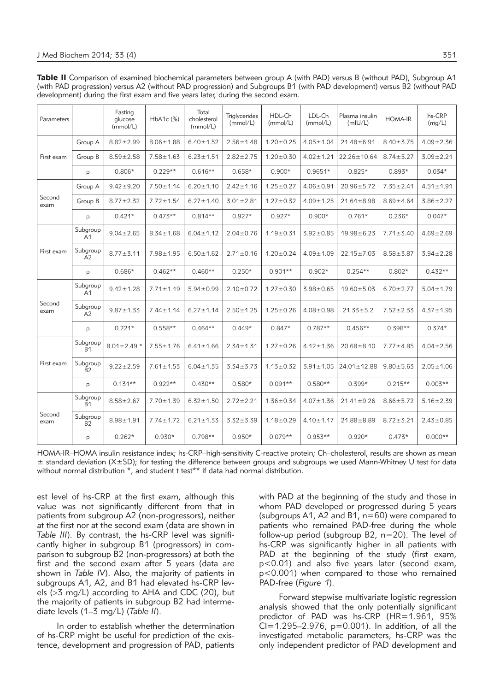Table II Comparison of examined biochemical parameters between group A (with PAD) versus B (without PAD), Subgroup A1 (with PAD progression) versus A2 (without PAD progression) and Subgroups B1 (with PAD development) versus B2 (without PAD development) during the first exam and five years later, during the second exam.

| Parameters     |                             | Fasting<br>glucose<br>(mmol/L) | HbA1c (%)       | Total<br>cholesterol<br>(mmol/L) | <b>Triglycerides</b><br>(mmol/L) | HDL-Ch<br>(mmol/L) | LDL-Ch<br>(mmol/L) | Plasma insulin<br>(mIU/L) | <b>HOMA-IR</b>  | hs-CRP<br>(mq/L) |
|----------------|-----------------------------|--------------------------------|-----------------|----------------------------------|----------------------------------|--------------------|--------------------|---------------------------|-----------------|------------------|
| First exam     | Group A                     | $8.82 \pm 2.99$                | $8.06 \pm 1.88$ | $6.40 \pm 1.52$                  | $2.56 \pm 1.48$                  | $1.20 \pm 0.25$    | $4.05 \pm 1.04$    | $21.48 \pm 6.91$          | $8.40 \pm 3.75$ | $4.09 \pm 2.36$  |
|                | Group B                     | $8.59 \pm 2.58$                | $7.58 \pm 1.63$ | $6.23 \pm 1.51$                  | $2.82 \pm 2.75$                  | $1.20 \pm 0.30$    | $4.02 \pm 1.21$    | $22.26 \pm 10.64$         | $8.74 \pm 5.27$ | $3.09 \pm 2.21$  |
|                | p                           | $0.806*$                       | $0.229**$       | $0.616**$                        | $0.658*$                         | $0.900*$           | $0.9651*$          | $0.825*$                  | $0.893*$        | $0.034*$         |
|                | Group A                     | $9.42 \pm 9.20$                | $7.50 \pm 1.14$ | $6.20 \pm 1.10$                  | $2.42 \pm 1.16$                  | $1.25 \pm 0.27$    | $4.06 \pm 0.91$    | $20.96 \pm 5.72$          | $7.35 \pm 2.41$ | $4.51 \pm 1.91$  |
| Second<br>exam | Group B                     | $8.77 \pm 2.32$                | $7.72 \pm 1.54$ | $6.27 \pm 1.40$                  | $3.01 \pm 2.81$                  | $1.27 \pm 0.32$    | $4.09 \pm 1.25$    | $21.64 \pm 8.98$          | $8.69 \pm 4.64$ | $3.86 \pm 2.27$  |
|                | p                           | $0.421*$                       | $0.473**$       | $0.814**$                        | $0.927*$                         | $0.927*$           | $0.900*$           | $0.761*$                  | $0.236*$        | $0.047*$         |
| First exam     | Subgroup<br>A <sub>1</sub>  | $9.04 \pm 2.65$                | $8.34 \pm 1.68$ | $6.04 \pm 1.12$                  | $2.04 \pm 0.76$                  | $1.19 \pm 0.31$    | $3.92 \pm 0.85$    | $19.98 \pm 6.23$          | $7.71 \pm 3.40$ | $4.69 \pm 2.69$  |
|                | Subgroup<br>A2              | $8.77 \pm 3.11$                | $7.98 \pm 1.95$ | $6.50 \pm 1.62$                  | $2.71 \pm 0.16$                  | $1.20 \pm 0.24$    | $4.09 \pm 1.09$    | $22.15 \pm 7.03$          | $8.58 + 3.87$   | $3.94 \pm 2.28$  |
|                | p                           | $0.686*$                       | $0.462**$       | $0.460**$                        | $0.250*$                         | $0.901**$          | $0.902*$           | $0.254**$                 | $0.802*$        | $0.432**$        |
| Second<br>exam | Subgroup<br>A <sub>1</sub>  | $9.42 \pm 1.28$                | $7.71 \pm 1.19$ | $5.94 \pm 0.99$                  | $2.10 \pm 0.72$                  | $1.27 \pm 0.30$    | $3.98 + 0.65$      | $19.60 \pm 5.03$          | $6.70 \pm 2.77$ | $5.04 \pm 1.79$  |
|                | Subgroup<br>A2              | $9.87 \pm 1.33$                | $7.44 \pm 1.14$ | $6.27 \pm 1.14$                  | $2.50 \pm 1.25$                  | $1.25 \pm 0.26$    | $4.08 + 0.98$      | $21.33 \pm 5.2$           | $7.52 \pm 2.33$ | $4.37 \pm 1.95$  |
|                | p                           | $0.221*$                       | $0.558**$       | $0.464**$                        | $0.449*$                         | $0.847*$           | $0.787**$          | $0.456**$                 | $0.398**$       | $0.374*$         |
| First exam     | Subgroup<br>$\overline{B}1$ | $8.01 \pm 2.49$ *              | $7.55 \pm 1.76$ | $6.41 \pm 1.66$                  | $2.34 \pm 1.31$                  | $1.27 \pm 0.26$    | $4.12 \pm 1.36$    | $20.68 \pm 8.10$          | $7.77 \pm 4.85$ | $4.04 \pm 2.56$  |
|                | Subgroup<br>$\overline{B}2$ | $9.22 \pm 2.59$                | $7.61 \pm 1.53$ | $6.04 \pm 1.35$                  | $3.34 + 3.73$                    | $1.13 \pm 0.32$    | $3.91 \pm 1.05$    | $24.01 \pm 12.88$         | $9.80 + 5.63$   | $2.05 \pm 1.06$  |
|                | p                           | $0.131**$                      | $0.922**$       | $0.430**$                        | $0.580*$                         | $0.091**$          | $0.580**$          | $0.399*$                  | $0.215**$       | $0.003**$        |
| Second<br>exam | Subgroup<br>B <sub>1</sub>  | $8.58 \pm 2.67$                | $7.70 \pm 1.39$ | $6.32 \pm 1.50$                  | $2.72 \pm 2.21$                  | $1.36 \pm 0.34$    | $4.07 \pm 1.36$    | $21.41 \pm 9.26$          | $8.66 \pm 5.72$ | $5.16 \pm 2.39$  |
|                | Subgroup<br><b>B2</b>       | $8.98 \pm 1.91$                | $7.74 \pm 1.72$ | $6.21 \pm 1.33$                  | $3.32 + 3.39$                    | $1.18 \pm 0.29$    | $4.10 \pm 1.17$    | $21.88 \pm 8.89$          | $8.72 \pm 3.21$ | $2.43 \pm 0.85$  |
|                | p                           | $0.262*$                       | $0.930*$        | $0.798**$                        | $0.950*$                         | $0.079**$          | $0.953**$          | $0.920*$                  | $0.473*$        | $0.000**$        |

HOMA-IR–HOMA insulin resistance index; hs-CRP–high-sensitivity C-reactive protein; Ch–cholesterol, results are shown as mean  $\pm$  standard deviation (X $\pm$ SD); for testing the difference between groups and subgroups we used Mann-Whitney U test for data without normal distribution  $*$ , and student t test<sup>\*\*</sup> if data had normal distribution.

est level of hs-CRP at the first exam, although this value was not significantly different from that in patients from subgroup A2 (non-progressors), neither at the first nor at the second exam (data are shown in *Table III*). By contrast, the hs-CRP level was significantly higher in subgroup B1 (progressors) in comparison to subgroup B2 (non-progressors) at both the first and the second exam after 5 years (data are shown in *Table IV*). Also, the majority of patients in subgroups A1, A2, and B1 had elevated hs-CRP levels (>3 mg/L) according to AHA and CDC (20), but the majority of patients in subgroup B2 had intermediate levels (1–3 mg/L) (*Table II*).

In order to establish whether the determination of hs-CRP might be useful for prediction of the existence, development and progression of PAD, patients with PAD at the beginning of the study and those in whom PAD developed or progressed during 5 years (subgroups A1, A2 and B1, n=60) were compared to patients who remained PAD-free during the whole follow-up period (subgroup B2, n=20). The level of hs-CRP was significantly higher in all patients with PAD at the beginning of the study (first exam, p<0.01) and also five years later (second exam, p<0.001) when compared to those who remained PAD-free (*Figure 1*).

Forward stepwise multivariate logistic regression analysis showed that the only potentially significant predictor of PAD was hs-CRP (HR=1.961, 95%  $CI = 1.295 - 2.976$ ,  $p = 0.001$ ). In addition, of all the investigated metabolic parameters, hs-CRP was the only independent predictor of PAD development and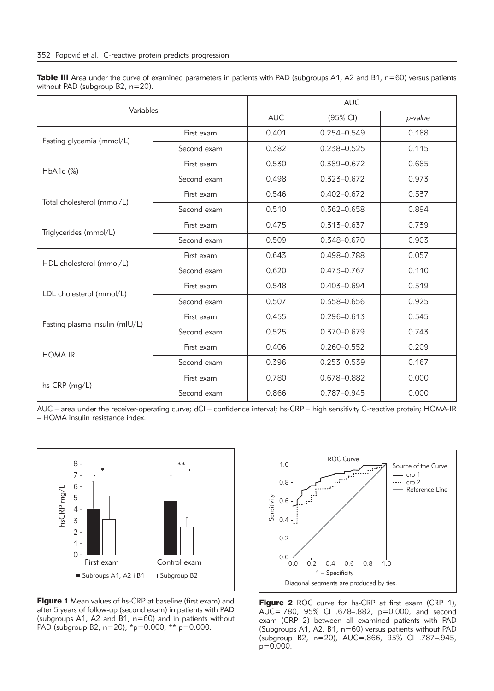| Table III Area under the curve of examined parameters in patients with PAD (subgroups A1, A2 and B1, n=60) versus patients |  |  |
|----------------------------------------------------------------------------------------------------------------------------|--|--|
| without PAD (subgroup $B2$ , $n=20$ ).                                                                                     |  |  |

| Variables                      |             | <b>AUC</b>                   |                                                                                                                                                                                                                                            |         |  |  |  |
|--------------------------------|-------------|------------------------------|--------------------------------------------------------------------------------------------------------------------------------------------------------------------------------------------------------------------------------------------|---------|--|--|--|
|                                |             | <b>AUC</b>                   | (95% CI)                                                                                                                                                                                                                                   | p-value |  |  |  |
| Fasting glycemia (mmol/L)      | First exam  | 0.401                        | $0.254 - 0.549$                                                                                                                                                                                                                            | 0.188   |  |  |  |
|                                | Second exam | 0.382                        | 0.238-0.525                                                                                                                                                                                                                                | 0.115   |  |  |  |
| $HbA1c$ $(\%)$                 | First exam  | 0.530                        | 0.389-0.672                                                                                                                                                                                                                                | 0.685   |  |  |  |
|                                | Second exam | 0.498                        | 0.323-0.672                                                                                                                                                                                                                                | 0.973   |  |  |  |
|                                | First exam  | 0.546                        | $0.402 - 0.672$<br>$0.362 - 0.658$<br>$0.313 - 0.637$<br>0.348-0.670<br>0.498-0.788<br>$0.473 - 0.767$<br>0.403-0.694<br>0.358-0.656<br>$0.296 - 0.613$<br>0.370-0.679<br>$0.260 - 0.552$<br>$0.253 - 0.539$<br>0.678-0.882<br>0.787-0.945 | 0.537   |  |  |  |
| Total cholesterol (mmol/L)     | Second exam | 0.510                        |                                                                                                                                                                                                                                            | 0.894   |  |  |  |
| Triglycerides (mmol/L)         | First exam  | 0.475                        |                                                                                                                                                                                                                                            | 0.739   |  |  |  |
|                                | Second exam | 0.509                        |                                                                                                                                                                                                                                            | 0.903   |  |  |  |
| HDL cholesterol (mmol/L)       | First exam  | 0.643                        |                                                                                                                                                                                                                                            | 0.057   |  |  |  |
|                                | Second exam | 0.620                        |                                                                                                                                                                                                                                            | 0.110   |  |  |  |
| LDL cholesterol (mmol/L)       | First exam  | 0.548                        |                                                                                                                                                                                                                                            | 0.519   |  |  |  |
|                                | Second exam | 0.507<br>0.455<br>First exam |                                                                                                                                                                                                                                            | 0.925   |  |  |  |
| Fasting plasma insulin (mIU/L) |             |                              |                                                                                                                                                                                                                                            | 0.545   |  |  |  |
|                                | Second exam | 0.525                        |                                                                                                                                                                                                                                            | 0.743   |  |  |  |
| <b>HOMA IR</b>                 | First exam  | 0.406                        |                                                                                                                                                                                                                                            | 0.209   |  |  |  |
|                                | Second exam | 0.396                        |                                                                                                                                                                                                                                            | 0.167   |  |  |  |
| hs-CRP (mg/L)                  | First exam  | 0.780                        |                                                                                                                                                                                                                                            | 0.000   |  |  |  |
|                                | Second exam | 0.866                        |                                                                                                                                                                                                                                            | 0.000   |  |  |  |

AUC – area under the receiver-operating curve; dCI – confidence interval; hs-CRP – high sensitivity C-reactive protein; HOMA-IR – HOMA insulin resistance index.



**Figure 1** Mean values of hs-CRP at baseline (first exam) and after 5 years of follow-up (second exam) in patients with PAD (subgroups A1, A2 and B1, n=60) and in patients without PAD (subgroup B2, n=20), \*p=0.000, \*\* p=0.000.



Figure 2 ROC curve for hs-CRP at first exam (CRP 1), AUC=.780, 95% CI .678–.882, p=0.000, and second exam (CRP 2) between all examined patients with PAD (Subgroups A1, A2, B1, n=60) versus patients without PAD (subgroup B2, n=20), AUC=.866, 95% CI .787–.945, p=0.000.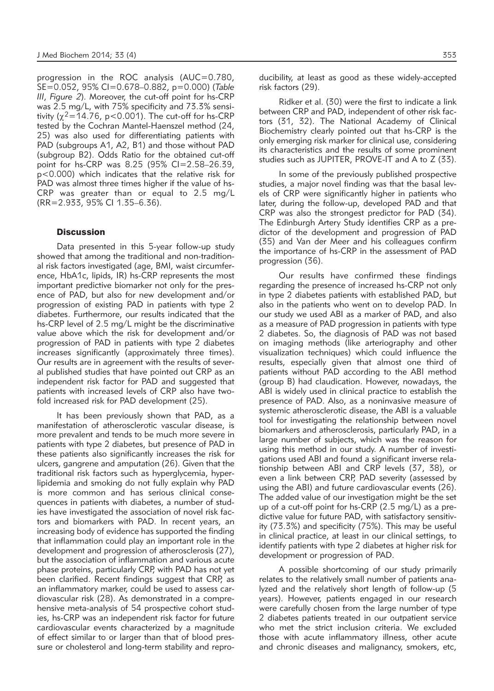progression in the ROC analysis (AUC=0.780, SE=0.052, 95% CI=0.678–0.882, p=0.000) (*Table III*, *Figure 2*). Moreover, the cut-off point for hs-CRP was 2.5 mg/L, with 75% specificity and 73.3% sensitivity ( $\chi^2$ =14.76, p<0.001). The cut-off for hs-CRP tested by the Cochran Mantel-Haenszel method (24, 25) was also used for differentiating patients with PAD (subgroups A1, A2, B1) and those without PAD (subgroup B2). Odds Ratio for the obtained cut-off point for hs-CRP was 8.25 (95% CI=2.58–26.39, p<0.000) which indicates that the relative risk for PAD was almost three times higher if the value of hs-CRP was greater than or equal to 2.5 mg/L (RR=2.933, 95% CI 1.35–6.36).

#### **Discussion**

Data presented in this 5-year follow-up study showed that among the traditional and non-traditional risk factors investigated (age, BMI, waist circumference, HbA1c, lipids, IR) hs-CRP represents the most important predictive biomarker not only for the presence of PAD, but also for new development and/or progression of existing PAD in patients with type 2 diabetes. Furthermore, our results indicated that the hs-CRP level of 2.5 mg/L might be the discriminative value above which the risk for development and/or progression of PAD in patients with type 2 diabetes increases significantly (approximately three times). Our results are in agreement with the results of several published studies that have pointed out CRP as an independent risk factor for PAD and suggested that patients with increased levels of CRP also have twofold increased risk for PAD development (25).

It has been previously shown that PAD, as a manifestation of atherosclerotic vascular disease, is more prevalent and tends to be much more severe in patients with type 2 diabetes, but presence of PAD in these patients also significantly increases the risk for ulcers, gangrene and amputation (26). Given that the traditional risk factors such as hyperglycemia, hyperlipidemia and smoking do not fully explain why PAD is more common and has serious clinical consequences in patients with diabetes, a number of studies have investigated the association of novel risk factors and biomarkers with PAD. In recent years, an increasing body of evidence has supported the finding that inflammation could play an important role in the development and progression of atherosclerosis (27), but the association of inflammation and various acute phase proteins, particularly CRP, with PAD has not yet been clarified. Recent findings suggest that CRP, as an inflammatory marker, could be used to assess cardiovascular risk (28). As demonstrated in a comprehensive meta-analysis of 54 prospective cohort studies, hs-CRP was an independent risk factor for future cardiovascular events characterized by a magnitude of effect similar to or larger than that of blood pressure or cholesterol and long-term stability and reproducibility, at least as good as these widely-accepted risk factors (29).

Ridker et al. (30) were the first to indicate a link between CRP and PAD, independent of other risk factors (31, 32). The National Academy of Clinical Biochemistry clearly pointed out that hs-CRP is the only emerging risk marker for clinical use, considering its characteristics and the results of some prominent studies such as JUPITER, PROVE-IT and A to Z (33).

In some of the previously published prospective studies, a major novel finding was that the basal levels of CRP were significantly higher in patients who later, during the follow-up, developed PAD and that CRP was also the strongest predictor for PAD (34). The Edinburgh Artery Study identifies CRP as a predictor of the development and progression of PAD (35) and Van der Meer and his colleagues confirm the importance of hs-CRP in the assessment of PAD progression (36).

Our results have confirmed these findings regarding the presence of increased hs-CRP not only in type 2 diabetes patients with established PAD, but also in the patients who went on to develop PAD. In our study we used ABI as a marker of PAD, and also as a measure of PAD progression in patients with type 2 diabetes. So, the diagnosis of PAD was not based on imaging methods (like arteriography and other visualization techniques) which could influence the results, especially given that almost one third of patients without PAD according to the ABI method (group B) had claudication. However, nowadays, the ABI is widely used in clinical practice to establish the presence of PAD. Also, as a noninvasive measure of systemic atherosclerotic disease, the ABI is a valuable tool for investigating the relationship between novel biomarkers and atherosclerosis, particularly PAD, in a large number of subjects, which was the reason for using this method in our study. A number of investigations used ABI and found a significant inverse relationship between ABI and CRP levels (37, 38), or even a link between CRP, PAD severity (assessed by using the ABI) and future cardiovascular events (26). The added value of our investigation might be the set up of a cut-off point for hs-CRP (2.5 mg/L) as a predictive value for future PAD, with satisfactory sensitivity (73.3%) and specificity (75%). This may be useful in clinical practice, at least in our clinical settings, to identify patients with type 2 diabetes at higher risk for development or progression of PAD.

A possible shortcoming of our study primarily relates to the relatively small number of patients analyzed and the relatively short length of follow-up (5 years). However, patients engaged in our research were carefully chosen from the large number of type 2 diabetes patients treated in our outpatient service who met the strict inclusion criteria. We excluded those with acute inflammatory illness, other acute and chronic diseases and malignancy, smokers, etc,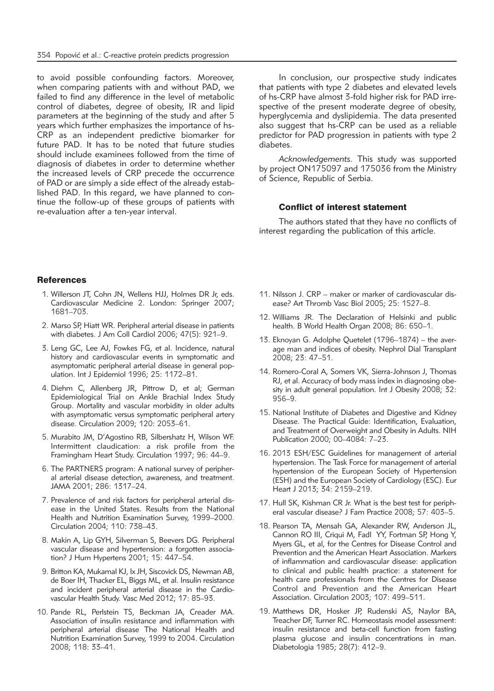to avoid possible confounding factors. Moreover, when comparing patients with and without PAD, we failed to find any difference in the level of metabolic control of diabetes, degree of obesity, IR and lipid parameters at the beginning of the study and after 5 years which further emphasizes the importance of hs-CRP as an independent predictive biomarker for future PAD. It has to be noted that future studies should include examinees followed from the time of diagnosis of diabetes in order to determine whether the increased levels of CRP precede the occurrence of PAD or are simply a side effect of the already established PAD. In this regard, we have planned to continue the follow-up of these groups of patients with re-evaluation after a ten-year interval.

In conclusion, our prospective study indicates that patients with type 2 diabetes and elevated levels of hs-CRP have almost 3-fold higher risk for PAD irrespective of the present moderate degree of obesity, hyperglycemia and dyslipidemia. The data presented also suggest that hs-CRP can be used as a reliable predictor for PAD progression in patients with type 2 diabetes.

*Acknowledgements.* This study was supported by project ON175097 and 175036 from the Ministry of Science, Republic of Serbia.

#### Conflict of interest statement

The authors stated that they have no conflicts of interest regarding the publication of this article.

## **References**

- 1. Willerson JT, Cohn JN, Wellens HJJ, Holmes DR Jr, eds. Cardiovascular Medicine 2. London: Springer 2007; 1681–703.
- 2. Marso SP, Hiatt WR. Peripheral arterial disease in patients with diabetes. J Am Coll Cardiol 2006; 47(5): 921–9.
- 3. Leng GC, Lee AJ, Fowkes FG, et al. Incidence, natural history and cardiovascular events in symptomatic and asymptomatic peripheral arterial disease in general population. Int J Epidemiol 1996; 25: 1172–81.
- 4. Diehm C, Allenberg JR, Pittrow D, et al; German Epidemiological Trial on Ankle Brachial Index Study Group. Mortality and vascular morbidity in older adults with asymptomatic versus symptomatic peripheral artery disease. Circulation 2009; 120: 2053–61.
- 5. Murabito JM, D'Agostino RB, Silbershatz H, Wilson WF. Intermittent claudication: a risk profile from the Framingham Heart Study. Circulation 1997; 96: 44–9.
- 6. The PARTNERS program: A national survey of peripheral arterial disease detection, awareness, and treatment. JAMA 2001; 286: 1317–24.
- 7. Prevalence of and risk factors for peripheral arterial disease in the United States. Results from the National Health and Nutrition Examination Survey, 1999–2000. Circulation 2004; 110: 738–43.
- 8. Makin A, Lip GYH, Silverman S, Beevers DG. Peripheral vascular disease and hypertension: a forgotten association? J Hum Hypertens 2001; 15: 447–54.
- 9. Britton KA, Mukamal KJ, Ix JH, Siscovick DS, Newman AB, de Boer IH, Thacker EL, Biggs ML, et al. Insulin resistance and incident peripheral arterial disease in the Cardiovascular Health Study. Vasc Med 2012; 17: 85–93.
- 10. Pande RL, Perlstein TS, Beckman JA, Creader MA. Association of insulin resistance and inflammation with peripheral arterial disease The National Health and Nutrition Examination Survey, 1999 to 2004. Circulation 2008; 118: 33–41.
- 11. Nilsson J. CRP maker or marker of cardiovascular disease? Art Thromb Vasc Biol 2005; 25: 1527–8.
- 12. Williams JR. The Declaration of Helsinki and public health. B World Health Organ 2008; 86: 650–1.
- 13. Eknoyan G. Adolphe Quetelet (1796–1874) the average man and indices of obesity. Nephrol Dial Transplant 2008; 23: 47–51.
- 14. Romero-Coral A, Somers VK, Sierra-Johnson J, Thomas RJ, et al. Accuracy of body mass index in diagnosing obesity in adult general population. Int J Obesity 2008; 32: 956–9.
- 15. National Institute of Diabetes and Digestive and Kidney Disease. The Practical Guide: Identification, Evaluation, and Treatment of Overweight and Obesity in Adults. NIH Publication 2000; 00–4084: 7–23.
- 16. 2013 ESH/ESC Guidelines for management of arterial hypertension. The Task Force for management of arterial hypertension of the European Society of Hypertension (ESH) and the European Society of Cardiology (ESC). Eur Heart J 2013; 34: 2159–219.
- 17. Hull SK, Kishman CR Jr. What is the best test for peripheral vascular disease? J Fam Practice 2008; 57: 403–5.
- 18. Pearson TA, Mensah GA, Alexander RW, Anderson JL, Cannon RO III, Criqui M, Fadl YY, Fortman SP, Hong Y, Myers GL, et al, for the Centres for Disease Control and Prevention and the American Heart Association. Markers of inflammation and cardiovascular disease: application to clinical and public health practice: a statement for health care professionals from the Centres for Disease Control and Prevention and the American Heart Association. Circulation 2003; 107: 499–511.
- 19. Matthews DR, Hosker JP, Rudenski AS, Naylor BA, Treacher DF, Turner RC. Homeostasis model assessment: insulin resistance and beta-cell function from fasting plasma glucose and insulin concentrations in man. Diabetologia 1985; 28(7): 412–9.